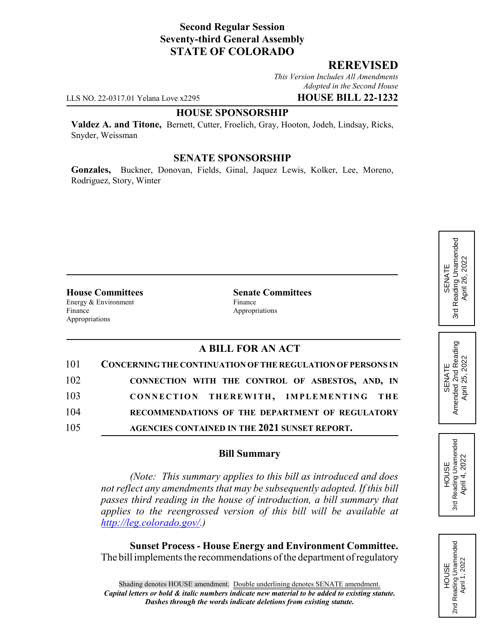## **Second Regular Session Seventy-third General Assembly STATE OF COLORADO**

### **REREVISED**

*This Version Includes All Amendments Adopted in the Second House*

LLS NO. 22-0317.01 Yelana Love x2295 **HOUSE BILL 22-1232**

#### **HOUSE SPONSORSHIP**

**Valdez A. and Titone,** Bernett, Cutter, Froelich, Gray, Hooton, Jodeh, Lindsay, Ricks, Snyder, Weissman

#### **SENATE SPONSORSHIP**

**Gonzales,** Buckner, Donovan, Fields, Ginal, Jaquez Lewis, Kolker, Lee, Moreno, Rodriguez, Story, Winter

Energy & Environment Finance Finance Appropriations Appropriations

**House Committees Senate Committees**

## **A BILL FOR AN ACT**

| 101 | <b>CONCERNING THE CONTINUATION OF THE REGULATION OF PERSONS IN</b> |
|-----|--------------------------------------------------------------------|
| 102 | CONNECTION WITH THE CONTROL OF ASBESTOS, AND, IN                   |
| 103 | CONNECTION THEREWITH, IMPLEMENTING THE                             |
| 104 | RECOMMENDATIONS OF THE DEPARTMENT OF REGULATORY                    |
| 105 | AGENCIES CONTAINED IN THE 2021 SUNSET REPORT.                      |

### **Bill Summary**

*(Note: This summary applies to this bill as introduced and does not reflect any amendments that may be subsequently adopted. If this bill passes third reading in the house of introduction, a bill summary that applies to the reengrossed version of this bill will be available at http://leg.colorado.gov/.)*

**Sunset Process - House Energy and Environment Committee.** The bill implements the recommendations of the department of regulatory

## Reading Unamended 3rd Reading Unamended April 26, 2022 April 26, 2022 SENATE 3rd

SENATE<br>Amended 2nd Reading<br>April 25, 2022 Reading Unamended 3rd Reading Unamended April 4, 2022 April 4, 2022 **HOUSE** 3rd

Amended 2nd Reading April 25, 2022

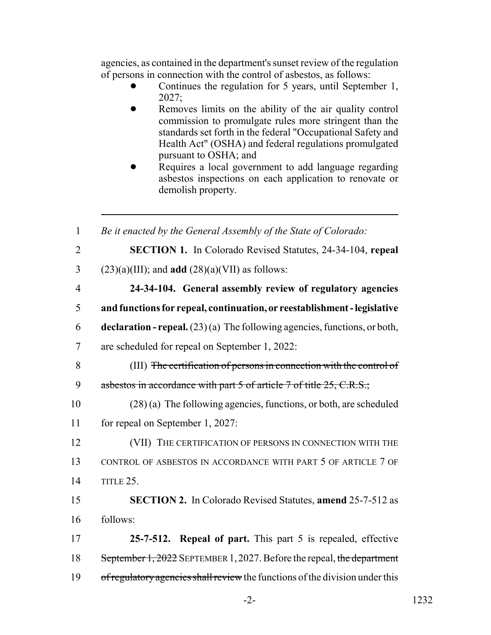agencies, as contained in the department's sunset review of the regulation of persons in connection with the control of asbestos, as follows:

- Continues the regulation for 5 years, until September 1, 2027;
- Removes limits on the ability of the air quality control commission to promulgate rules more stringent than the standards set forth in the federal "Occupational Safety and Health Act" (OSHA) and federal regulations promulgated pursuant to OSHA; and
- Requires a local government to add language regarding asbestos inspections on each application to renovate or demolish property.

| Be it enacted by the General Assembly of the State of Colorado:                    |
|------------------------------------------------------------------------------------|
| <b>SECTION 1.</b> In Colorado Revised Statutes, 24-34-104, repeal                  |
| $(23)(a)(III)$ ; and <b>add</b> $(28)(a)(VII)$ as follows:                         |
| 24-34-104. General assembly review of regulatory agencies                          |
| and functions for repeal, continuation, or reestablishment - legislative           |
| <b>declaration - repeal.</b> $(23)(a)$ The following agencies, functions, or both, |
| are scheduled for repeal on September 1, 2022:                                     |
| (III) The certification of persons in connection with the control of               |
| asbestos in accordance with part 5 of article 7 of title 25, C.R.S.;               |
| $(28)$ (a) The following agencies, functions, or both, are scheduled               |
| for repeal on September 1, 2027:                                                   |
| (VII) THE CERTIFICATION OF PERSONS IN CONNECTION WITH THE                          |
| CONTROL OF ASBESTOS IN ACCORDANCE WITH PART 5 OF ARTICLE 7 OF                      |
| TITLE 25.                                                                          |
| <b>SECTION 2.</b> In Colorado Revised Statutes, amend 25-7-512 as                  |
| follows:                                                                           |
| 25-7-512. Repeal of part. This part 5 is repealed, effective                       |
| September 1, 2022 SEPTEMBER 1, 2027. Before the repeal, the department             |
| of regulatory agencies shall review the functions of the division under this       |
|                                                                                    |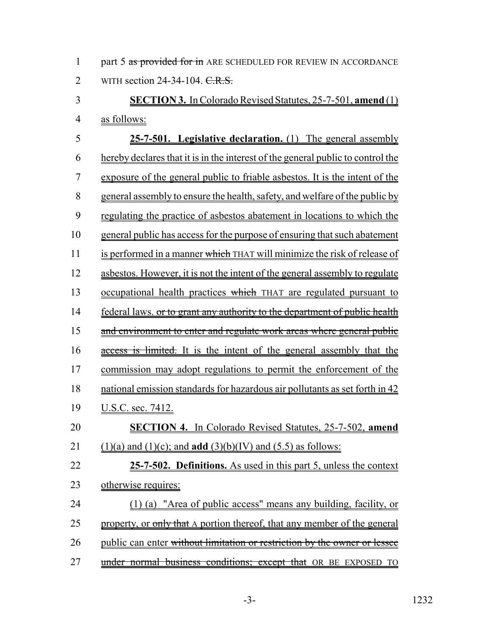1 part 5 as provided for in ARE SCHEDULED FOR REVIEW IN ACCORDANCE 2 WITH section 24-34-104. C.R.S.

# 3 **SECTION 3.** In Colorado Revised Statutes, 25-7-501, **amend** (1) 4 as follows:

 **25-7-501. Legislative declaration.** (1) The general assembly hereby declares that it is in the interest of the general public to control the exposure of the general public to friable asbestos. It is the intent of the general assembly to ensure the health, safety, and welfare of the public by regulating the practice of asbestos abatement in locations to which the general public has access for the purpose of ensuring that such abatement 11 is performed in a manner which THAT will minimize the risk of release of asbestos. However, it is not the intent of the general assembly to regulate 13 occupational health practices which THAT are regulated pursuant to 14 federal laws. or to grant any authority to the department of public health 15 and environment to enter and regulate work areas where general public 16 access is limited. It is the intent of the general assembly that the commission may adopt regulations to permit the enforcement of the national emission standards for hazardous air pollutants as set forth in 42 U.S.C. sec. 7412. **SECTION 4.** In Colorado Revised Statutes, 25-7-502, **amend** 21 (1)(a) and (1)(c); and **add** (3)(b)(IV) and (5.5) as follows: **25-7-502. Definitions.** As used in this part 5, unless the context otherwise requires: (1) (a) "Area of public access" means any building, facility, or 25 property, or  $\frac{1}{2}$  property, or  $\frac{1}{2}$  be that A portion thereof, that any member of the general 26 public can enter without limitation or restriction by the owner or lessee 27 under normal business conditions; except that OR BE EXPOSED TO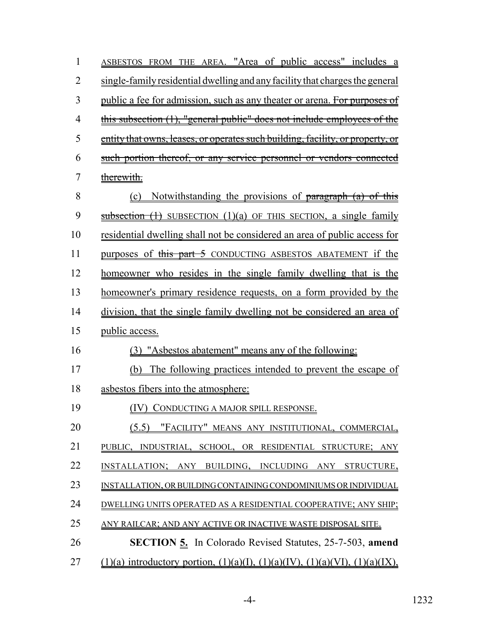| $\mathbf{1}$   | ASBESTOS FROM THE AREA. "Area of public access" includes a                                               |
|----------------|----------------------------------------------------------------------------------------------------------|
| $\overline{2}$ | single-family residential dwelling and any facility that charges the general                             |
| 3              | public a fee for admission, such as any theater or arena. For purposes of                                |
| $\overline{4}$ | this subsection (1), "general public" does not include employees of the                                  |
| 5              | entity that owns, leases, or operates such building, facility, or property, or                           |
| 6              | such portion thereof, or any service personnel or vendors connected                                      |
| 7              | therewith.                                                                                               |
| 8              | (c) Notwithstanding the provisions of paragraph (a) of this                                              |
| 9              | $\frac{\text{subsection} (1)}{\text{subsection} (1)}$ SUBSECTION (1)(a) OF THIS SECTION, a single family |
| 10             | <u>residential dwelling shall not be considered an area of public access for</u>                         |
| 11             | purposes of this part 5 CONDUCTING ASBESTOS ABATEMENT if the                                             |
| 12             | homeowner who resides in the single family dwelling that is the                                          |
| 13             | homeowner's primary residence requests, on a form provided by the                                        |
| 14             | division, that the single family dwelling not be considered an area of                                   |
| 15             | public access.                                                                                           |
| 16             | (3) "Asbestos abatement" means any of the following:                                                     |
| 17             | (b) The following practices intended to prevent the escape of                                            |
| 18             | asbestos fibers into the atmosphere:                                                                     |
| 19             | (IV) CONDUCTING A MAJOR SPILL RESPONSE.                                                                  |
| 20             | "FACILITY" MEANS ANY INSTITUTIONAL, COMMERCIAL,<br>(5.5)                                                 |
| 21             | PUBLIC, INDUSTRIAL, SCHOOL, OR RESIDENTIAL STRUCTURE; ANY                                                |
| 22             | INSTALLATION; ANY BUILDING, INCLUDING ANY STRUCTURE,                                                     |
| 23             | INSTALLATION, OR BUILDING CONTAINING CONDOMINIUMS OR INDIVIDUAL                                          |
| 24             | DWELLING UNITS OPERATED AS A RESIDENTIAL COOPERATIVE; ANY SHIP;                                          |
| 25             | ANY RAILCAR; AND ANY ACTIVE OR INACTIVE WASTE DISPOSAL SITE.                                             |
| 26             | <b>SECTION 5.</b> In Colorado Revised Statutes, 25-7-503, amend                                          |
| 27             | $(1)(a)$ introductory portion, $(1)(a)(I)$ , $(1)(a)(IV)$ , $(1)(a)(VI)$ , $(1)(a)(IX)$ ,                |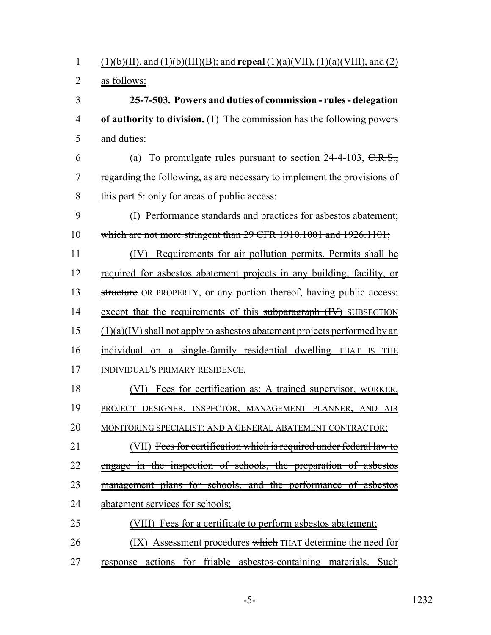1 (1)(b)(II), and (1)(b)(III)(B); and **repeal** (1)(a)(VII), (1)(a)(VIII), and (2)

2 as follows:

3 **25-7-503. Powers and duties of commission - rules - delegation** 4 **of authority to division.** (1) The commission has the following powers 5 and duties:

6 (a) To promulgate rules pursuant to section  $24-4-103$ ,  $C.R.S.,$ 7 regarding the following, as are necessary to implement the provisions of 8 this part 5: only for areas of public access:

9 (I) Performance standards and practices for asbestos abatement; 10 which are not more stringent than 29 CFR 1910.1001 and 1926.1101;

11 (IV) Requirements for air pollution permits. Permits shall be 12 required for asbestos abatement projects in any building, facility, or

13 structure OR PROPERTY, or any portion thereof, having public access; 14 except that the requirements of this subparagraph (IV) SUBSECTION

 $15$  (1)(a)(IV) shall not apply to asbestos abatement projects performed by an

16 individual on a single-family residential dwelling THAT IS THE 17 INDIVIDUAL'S PRIMARY RESIDENCE.

18 (VI) Fees for certification as: A trained supervisor, WORKER, 19 PROJECT DESIGNER, INSPECTOR, MANAGEMENT PLANNER, AND AIR 20 MONITORING SPECIALIST; AND A GENERAL ABATEMENT CONTRACTOR; 21 (VII) Fees for certification which is required under federal law to 22 engage in the inspection of schools, the preparation of asbestos

23 management plans for schools, and the performance of asbestos

24 abatement services for schools;

25 (VIII) Fees for a certificate to perform asbestos abatement;

26 (IX) Assessment procedures which THAT determine the need for

27 response actions for friable asbestos-containing materials. Such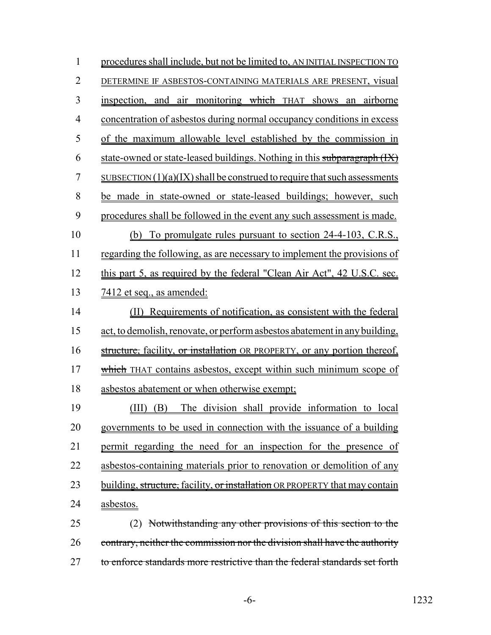| $\mathbf{1}$   | procedures shall include, but not be limited to, AN INITIAL INSPECTION TO     |
|----------------|-------------------------------------------------------------------------------|
| $\overline{2}$ | DETERMINE IF ASBESTOS-CONTAINING MATERIALS ARE PRESENT, visual                |
| 3              | inspection, and air monitoring which THAT shows an airborne                   |
| $\overline{4}$ | concentration of asbestos during normal occupancy conditions in excess        |
| 5              | of the maximum allowable level established by the commission in               |
| 6              | state-owned or state-leased buildings. Nothing in this subparagraph (IX)      |
| 7              | $SUBSECTION (1)(a)(IX) shall be constructed to require that such assessments$ |
| 8              | be made in state-owned or state-leased buildings; however, such               |
| 9              | procedures shall be followed in the event any such assessment is made.        |
| 10             | (b) To promulgate rules pursuant to section 24-4-103, C.R.S.,                 |
| 11             | regarding the following, as are necessary to implement the provisions of      |
| 12             | this part 5, as required by the federal "Clean Air Act", 42 U.S.C. sec.       |
| 13             | <u>7412 et seq., as amended:</u>                                              |
| 14             | (II) Requirements of notification, as consistent with the federal             |
| 15             | act, to demolish, renovate, or perform asbestos abatement in any building,    |
| 16             | structure, facility, or installation OR PROPERTY, or any portion thereof,     |
| 17             | which THAT contains asbestos, except within such minimum scope of             |
| 18             | asbestos abatement or when otherwise exempt;                                  |
| 19             | (III) (B) The division shall provide information to local                     |
| 20             | governments to be used in connection with the issuance of a building          |
| 21             | permit regarding the need for an inspection for the presence of               |
| 22             | asbestos-containing materials prior to renovation or demolition of any        |
| 23             | building, structure, facility, or installation OR PROPERTY that may contain   |
| 24             | asbestos.                                                                     |
| 25             | Notwithstanding any other provisions of this section to the<br>(2)            |
| 26             | contrary, neither the commission nor the division shall have the authority    |
| 27             | to enforce standards more restrictive than the federal standards set forth    |

-6- 1232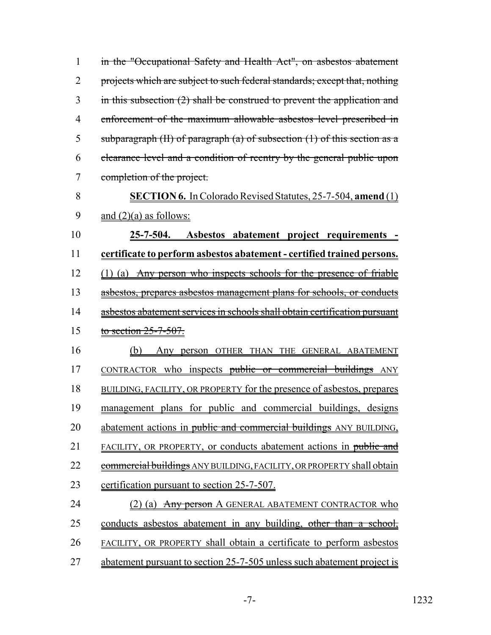1 in the "Occupational Safety and Health Act", on asbestos abatement 2 projects which are subject to such federal standards; except that, nothing 3 in this subsection (2) shall be construed to prevent the application and 4 enforcement of the maximum allowable asbestos level prescribed in 5 subparagraph  $(H)$  of paragraph  $(a)$  of subsection  $(1)$  of this section as a 6 clearance level and a condition of reentry by the general public upon 7 completion of the project. 8 **SECTION 6.** In Colorado Revised Statutes, 25-7-504, **amend** (1) 9 and  $(2)(a)$  as follows: 10 **25-7-504. Asbestos abatement project requirements -** 11 **certificate to perform asbestos abatement - certified trained persons.** 12 (1) (a) Any person who inspects schools for the presence of friable 13 asbestos, prepares asbestos management plans for schools, or conducts 14 asbestos abatement services in schools shall obtain certification pursuant 15 to section 25-7-507. 16 (b) Any person OTHER THAN THE GENERAL ABATEMENT 17 CONTRACTOR who inspects public or commercial buildings ANY 18 BUILDING, FACILITY, OR PROPERTY for the presence of asbestos, prepares 19 management plans for public and commercial buildings, designs 20 abatement actions in public and commercial buildings ANY BUILDING, 21 FACILITY, OR PROPERTY, or conducts abatement actions in public and 22 commercial buildings ANY BUILDING, FACILITY, OR PROPERTY shall obtain 23 certification pursuant to section 25-7-507. 24 (2) (a) Any person A GENERAL ABATEMENT CONTRACTOR who 25 conducts asbestos abatement in any building, other than a school, 26 FACILITY, OR PROPERTY shall obtain a certificate to perform asbestos 27 abatement pursuant to section 25-7-505 unless such abatement project is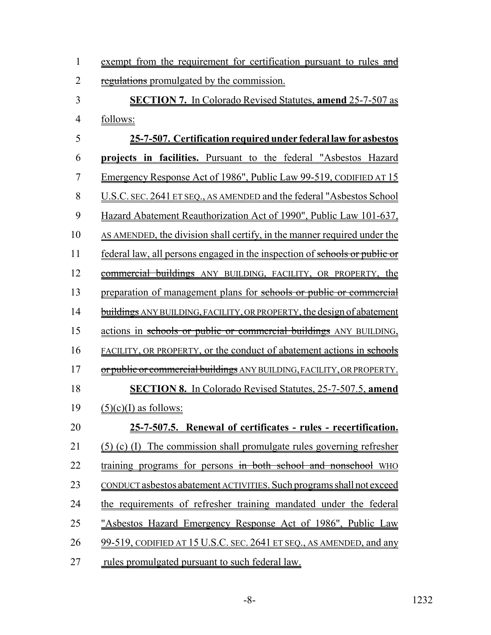| 1              | exempt from the requirement for certification pursuant to rules and               |
|----------------|-----------------------------------------------------------------------------------|
| $\overline{2}$ | regulations promulgated by the commission.                                        |
| 3              | <b>SECTION 7.</b> In Colorado Revised Statutes, <b>amend</b> 25-7-507 as          |
| $\overline{4}$ | follows:                                                                          |
| 5              | 25-7-507. Certification required under federal law for asbestos                   |
| 6              | projects in facilities. Pursuant to the federal "Asbestos Hazard"                 |
| 7              | Emergency Response Act of 1986", Public Law 99-519, CODIFIED AT 15                |
| 8              | U.S.C. SEC. 2641 ET SEQ., AS AMENDED and the federal "Asbestos School             |
| 9              | Hazard Abatement Reauthorization Act of 1990", Public Law 101-637,                |
| 10             | AS AMENDED, the division shall certify, in the manner required under the          |
| 11             | <u>federal law, all persons engaged in the inspection of schools or public or</u> |
| 12             | commercial buildings ANY BUILDING, FACILITY, OR PROPERTY, the                     |
| 13             | preparation of management plans for schools or public or commercial               |
| 14             | <b>buildings</b> ANY BUILDING, FACILITY, OR PROPERTY, the design of abatement     |
| 15             | actions in schools or public or commercial buildings ANY BUILDING,                |
| 16             | <b>FACILITY, OR PROPERTY, or the conduct of abatement actions in schools</b>      |
| 17             | or public or commercial buildings ANY BUILDING, FACILITY, OR PROPERTY.            |
| 18             | <b>SECTION 8.</b> In Colorado Revised Statutes, 25-7-507.5, amend                 |
| 19             | $(5)(c)(I)$ as follows:                                                           |
| 20             | 25-7-507.5. Renewal of certificates - rules - recertification.                    |
| 21             | (5) (c) (I) The commission shall promulgate rules governing refresher             |
| 22             | training programs for persons in both school and nonschool WHO                    |
| 23             | CONDUCT asbestos abatement ACTIVITIES. Such programs shall not exceed             |
| 24             | the requirements of refresher training mandated under the federal                 |
| 25             | "Asbestos Hazard Emergency Response Act of 1986", Public Law                      |
| 26             | 99-519, CODIFIED AT 15 U.S.C. SEC. 2641 ET SEQ., AS AMENDED, and any              |
| 27             | rules promulgated pursuant to such federal law.                                   |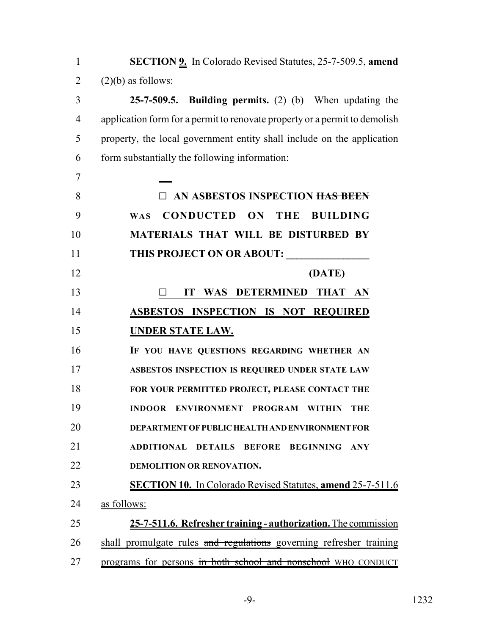| $\mathbf{1}$   | <b>SECTION 9.</b> In Colorado Revised Statutes, 25-7-509.5, amend          |
|----------------|----------------------------------------------------------------------------|
| $\overline{2}$ | $(2)(b)$ as follows:                                                       |
| 3              | 25-7-509.5. Building permits. $(2)$ (b) When updating the                  |
| $\overline{4}$ | application form for a permit to renovate property or a permit to demolish |
| 5              | property, the local government entity shall include on the application     |
| 6              | form substantially the following information:                              |
| 7              |                                                                            |
| 8              | <b>IN ASBESTOS INSPECTION <del>HAS BEEN</del></b>                          |
| 9              | CONDUCTED ON THE BUILDING<br><b>WAS</b>                                    |
| 10             | MATERIALS THAT WILL BE DISTURBED BY                                        |
| 11             | THIS PROJECT ON OR ABOUT:                                                  |
| 12             | (DATE)                                                                     |
| 13             | IT WAS DETERMINED THAT AN                                                  |
| 14             | <b>ASBESTOS INSPECTION IS NOT REQUIRED</b>                                 |
| 15             | <u>UNDER STATE LAW.</u>                                                    |
| 16             | IF YOU HAVE QUESTIONS REGARDING WHETHER AN                                 |
| 17             | ASBESTOS INSPECTION IS REQUIRED UNDER STATE LAW                            |
| 18             | FOR YOUR PERMITTED PROJECT, PLEASE CONTACT THE                             |
| 19             | INDOOR ENVIRONMENT PROGRAM<br><b>WITHIN</b><br>THE                         |
| 20             | <b>DEPARTMENT OF PUBLIC HEALTH AND ENVIRONMENT FOR</b>                     |
| 21             | ADDITIONAL DETAILS BEFORE<br><b>BEGINNING</b><br><b>ANY</b>                |
| 22             | <b>DEMOLITION OR RENOVATION.</b>                                           |
| 23             | <b>SECTION 10.</b> In Colorado Revised Statutes, amend 25-7-511.6          |
| 24             | as follows:                                                                |
| 25             | 25-7-511.6. Refresher training - authorization. The commission             |
| 26             | shall promulgate rules and regulations governing refresher training        |
| 27             | programs for persons in both school and nonschool WHO CONDUCT              |